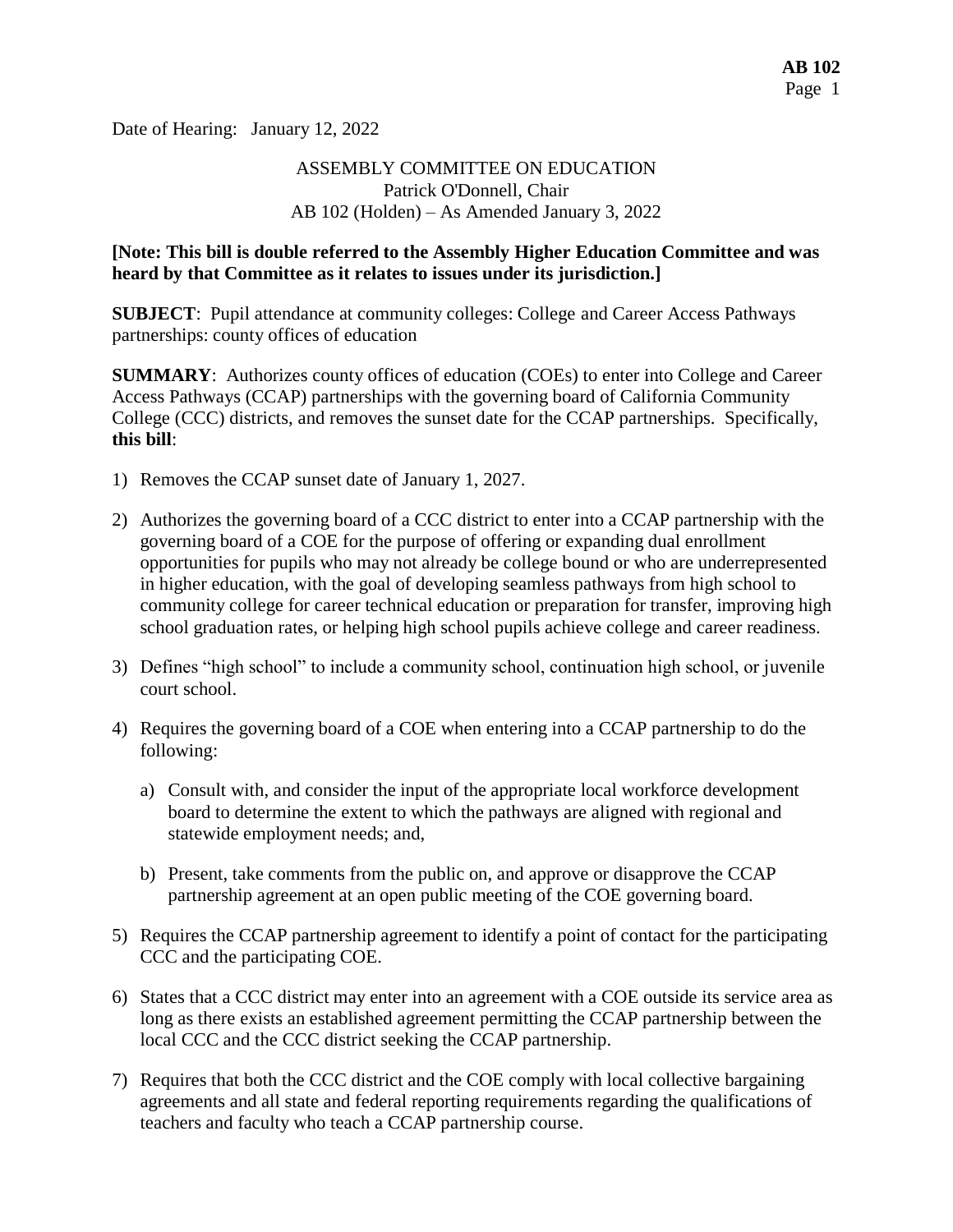Date of Hearing: January 12, 2022

# ASSEMBLY COMMITTEE ON EDUCATION Patrick O'Donnell, Chair AB 102 (Holden) – As Amended January 3, 2022

### **[Note: This bill is double referred to the Assembly Higher Education Committee and was heard by that Committee as it relates to issues under its jurisdiction.]**

**SUBJECT**: Pupil attendance at community colleges: College and Career Access Pathways partnerships: county offices of education

**SUMMARY**: Authorizes county offices of education (COEs) to enter into College and Career Access Pathways (CCAP) partnerships with the governing board of California Community College (CCC) districts, and removes the sunset date for the CCAP partnerships. Specifically, **this bill**:

- 1) Removes the CCAP sunset date of January 1, 2027.
- 2) Authorizes the governing board of a CCC district to enter into a CCAP partnership with the governing board of a COE for the purpose of offering or expanding dual enrollment opportunities for pupils who may not already be college bound or who are underrepresented in higher education, with the goal of developing seamless pathways from high school to community college for career technical education or preparation for transfer, improving high school graduation rates, or helping high school pupils achieve college and career readiness.
- 3) Defines "high school" to include a community school, continuation high school, or juvenile court school.
- 4) Requires the governing board of a COE when entering into a CCAP partnership to do the following:
	- a) Consult with, and consider the input of the appropriate local workforce development board to determine the extent to which the pathways are aligned with regional and statewide employment needs; and,
	- b) Present, take comments from the public on, and approve or disapprove the CCAP partnership agreement at an open public meeting of the COE governing board.
- 5) Requires the CCAP partnership agreement to identify a point of contact for the participating CCC and the participating COE.
- 6) States that a CCC district may enter into an agreement with a COE outside its service area as long as there exists an established agreement permitting the CCAP partnership between the local CCC and the CCC district seeking the CCAP partnership.
- 7) Requires that both the CCC district and the COE comply with local collective bargaining agreements and all state and federal reporting requirements regarding the qualifications of teachers and faculty who teach a CCAP partnership course.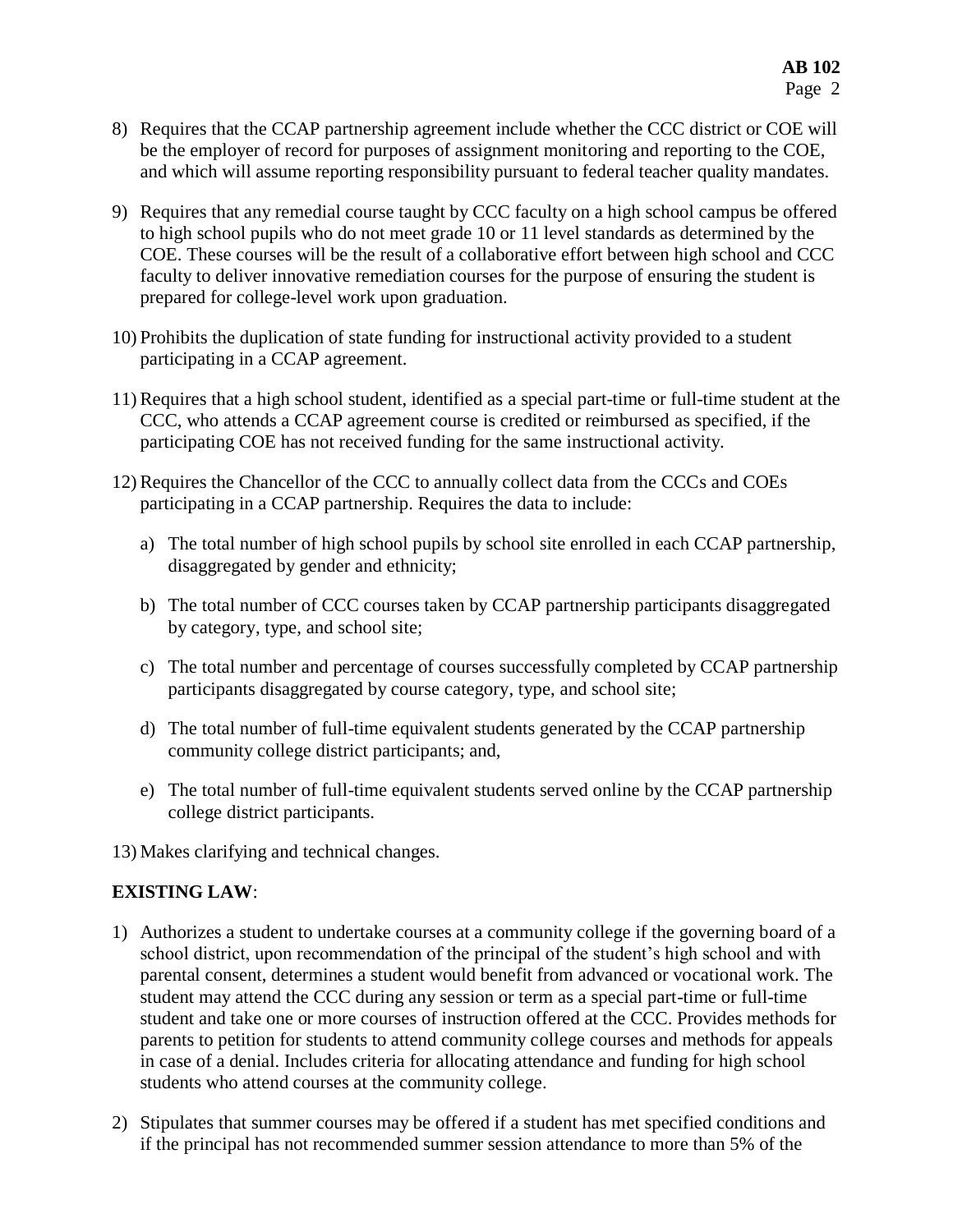- 8) Requires that the CCAP partnership agreement include whether the CCC district or COE will be the employer of record for purposes of assignment monitoring and reporting to the COE, and which will assume reporting responsibility pursuant to federal teacher quality mandates.
- 9) Requires that any remedial course taught by CCC faculty on a high school campus be offered to high school pupils who do not meet grade 10 or 11 level standards as determined by the COE. These courses will be the result of a collaborative effort between high school and CCC faculty to deliver innovative remediation courses for the purpose of ensuring the student is prepared for college-level work upon graduation.
- 10) Prohibits the duplication of state funding for instructional activity provided to a student participating in a CCAP agreement.
- 11) Requires that a high school student, identified as a special part-time or full-time student at the CCC, who attends a CCAP agreement course is credited or reimbursed as specified, if the participating COE has not received funding for the same instructional activity.
- 12) Requires the Chancellor of the CCC to annually collect data from the CCCs and COEs participating in a CCAP partnership. Requires the data to include:
	- a) The total number of high school pupils by school site enrolled in each CCAP partnership, disaggregated by gender and ethnicity;
	- b) The total number of CCC courses taken by CCAP partnership participants disaggregated by category, type, and school site;
	- c) The total number and percentage of courses successfully completed by CCAP partnership participants disaggregated by course category, type, and school site;
	- d) The total number of full-time equivalent students generated by the CCAP partnership community college district participants; and,
	- e) The total number of full-time equivalent students served online by the CCAP partnership college district participants.
- 13) Makes clarifying and technical changes.

# **EXISTING LAW**:

- 1) Authorizes a student to undertake courses at a community college if the governing board of a school district, upon recommendation of the principal of the student's high school and with parental consent, determines a student would benefit from advanced or vocational work. The student may attend the CCC during any session or term as a special part-time or full-time student and take one or more courses of instruction offered at the CCC. Provides methods for parents to petition for students to attend community college courses and methods for appeals in case of a denial. Includes criteria for allocating attendance and funding for high school students who attend courses at the community college.
- 2) Stipulates that summer courses may be offered if a student has met specified conditions and if the principal has not recommended summer session attendance to more than 5% of the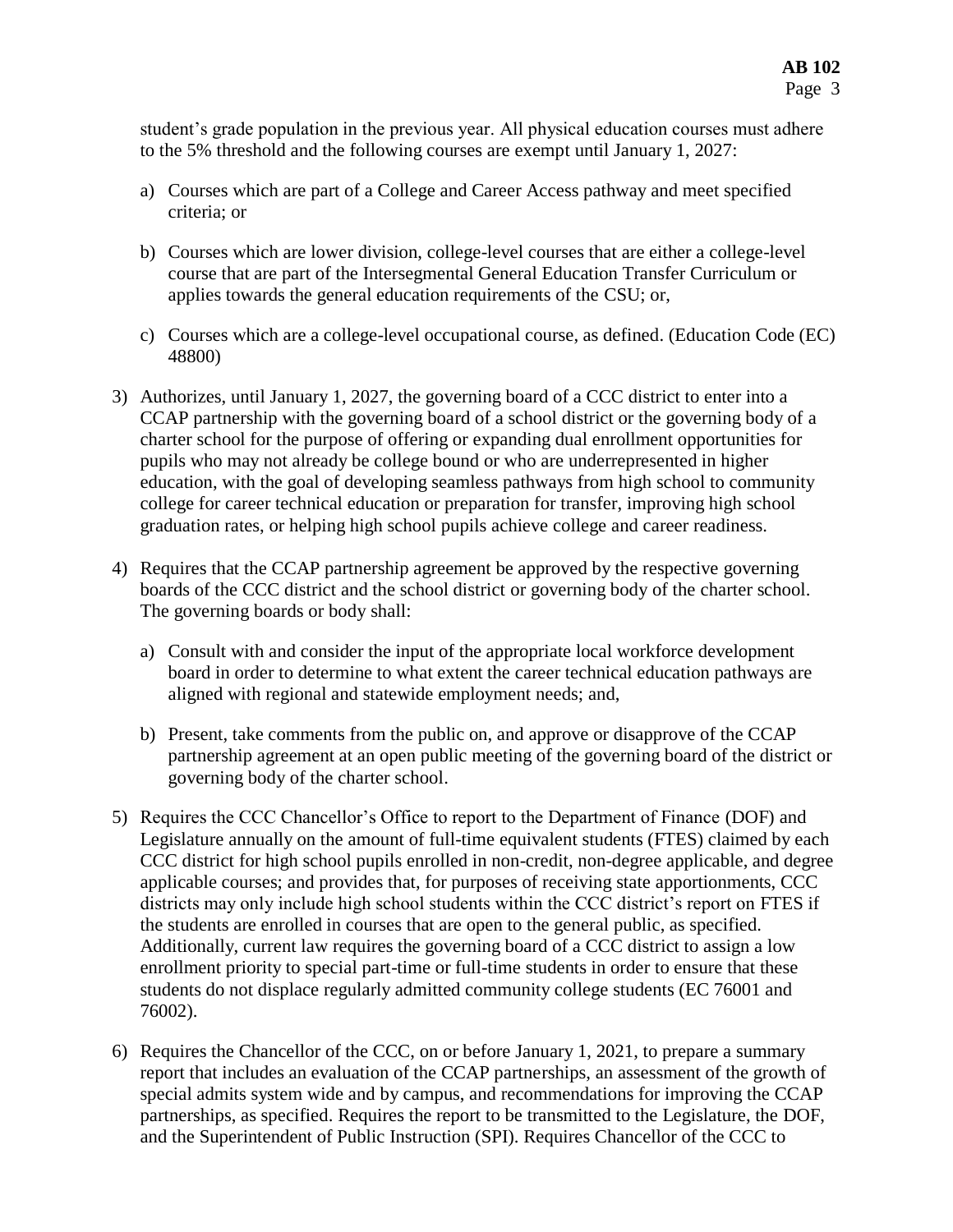student's grade population in the previous year. All physical education courses must adhere to the 5% threshold and the following courses are exempt until January 1, 2027:

- a) Courses which are part of a College and Career Access pathway and meet specified criteria; or
- b) Courses which are lower division, college-level courses that are either a college-level course that are part of the Intersegmental General Education Transfer Curriculum or applies towards the general education requirements of the CSU; or,
- c) Courses which are a college-level occupational course, as defined. (Education Code (EC) 48800)
- 3) Authorizes, until January 1, 2027, the governing board of a CCC district to enter into a CCAP partnership with the governing board of a school district or the governing body of a charter school for the purpose of offering or expanding dual enrollment opportunities for pupils who may not already be college bound or who are underrepresented in higher education, with the goal of developing seamless pathways from high school to community college for career technical education or preparation for transfer, improving high school graduation rates, or helping high school pupils achieve college and career readiness.
- 4) Requires that the CCAP partnership agreement be approved by the respective governing boards of the CCC district and the school district or governing body of the charter school. The governing boards or body shall:
	- a) Consult with and consider the input of the appropriate local workforce development board in order to determine to what extent the career technical education pathways are aligned with regional and statewide employment needs; and,
	- b) Present, take comments from the public on, and approve or disapprove of the CCAP partnership agreement at an open public meeting of the governing board of the district or governing body of the charter school.
- 5) Requires the CCC Chancellor's Office to report to the Department of Finance (DOF) and Legislature annually on the amount of full-time equivalent students (FTES) claimed by each CCC district for high school pupils enrolled in non-credit, non-degree applicable, and degree applicable courses; and provides that, for purposes of receiving state apportionments, CCC districts may only include high school students within the CCC district's report on FTES if the students are enrolled in courses that are open to the general public, as specified. Additionally, current law requires the governing board of a CCC district to assign a low enrollment priority to special part-time or full-time students in order to ensure that these students do not displace regularly admitted community college students (EC 76001 and 76002).
- 6) Requires the Chancellor of the CCC, on or before January 1, 2021, to prepare a summary report that includes an evaluation of the CCAP partnerships, an assessment of the growth of special admits system wide and by campus, and recommendations for improving the CCAP partnerships, as specified. Requires the report to be transmitted to the Legislature, the DOF, and the Superintendent of Public Instruction (SPI). Requires Chancellor of the CCC to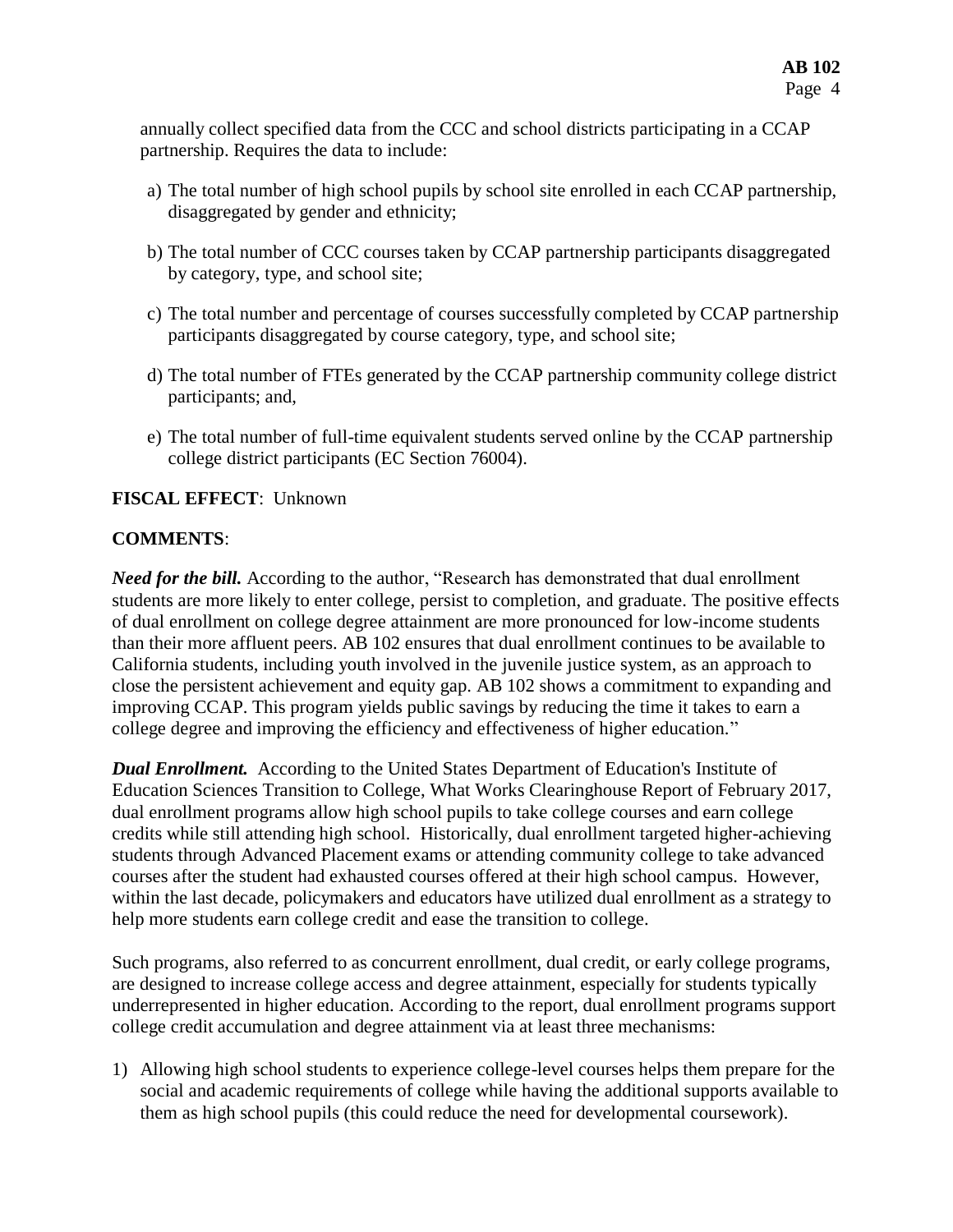annually collect specified data from the CCC and school districts participating in a CCAP partnership. Requires the data to include:

- a) The total number of high school pupils by school site enrolled in each CCAP partnership, disaggregated by gender and ethnicity;
- b) The total number of CCC courses taken by CCAP partnership participants disaggregated by category, type, and school site;
- c) The total number and percentage of courses successfully completed by CCAP partnership participants disaggregated by course category, type, and school site;
- d) The total number of FTEs generated by the CCAP partnership community college district participants; and,
- e) The total number of full-time equivalent students served online by the CCAP partnership college district participants (EC Section 76004).

### **FISCAL EFFECT**: Unknown

### **COMMENTS**:

*Need for the bill.* According to the author, "Research has demonstrated that dual enrollment students are more likely to enter college, persist to completion, and graduate. The positive effects of dual enrollment on college degree attainment are more pronounced for low-income students than their more affluent peers. AB 102 ensures that dual enrollment continues to be available to California students, including youth involved in the juvenile justice system, as an approach to close the persistent achievement and equity gap. AB 102 shows a commitment to expanding and improving CCAP. This program yields public savings by reducing the time it takes to earn a college degree and improving the efficiency and effectiveness of higher education."

*Dual Enrollment.* According to the United States Department of Education's Institute of Education Sciences Transition to College, What Works Clearinghouse Report of February 2017, dual enrollment programs allow high school pupils to take college courses and earn college credits while still attending high school. Historically, dual enrollment targeted higher-achieving students through Advanced Placement exams or attending community college to take advanced courses after the student had exhausted courses offered at their high school campus. However, within the last decade, policymakers and educators have utilized dual enrollment as a strategy to help more students earn college credit and ease the transition to college.

Such programs, also referred to as concurrent enrollment, dual credit, or early college programs, are designed to increase college access and degree attainment, especially for students typically underrepresented in higher education. According to the report, dual enrollment programs support college credit accumulation and degree attainment via at least three mechanisms:

1) Allowing high school students to experience college-level courses helps them prepare for the social and academic requirements of college while having the additional supports available to them as high school pupils (this could reduce the need for developmental coursework).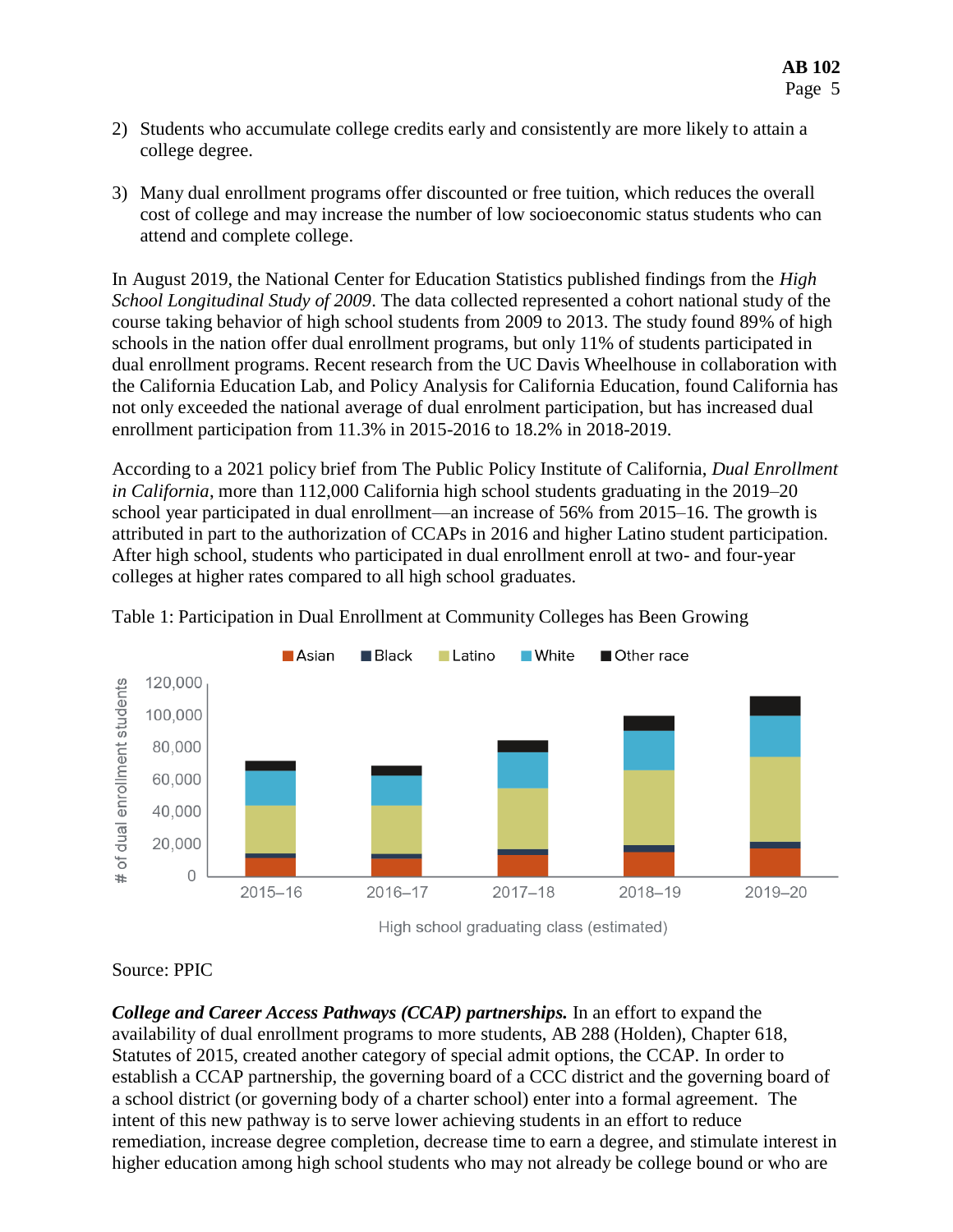- 2) Students who accumulate college credits early and consistently are more likely to attain a college degree.
- 3) Many dual enrollment programs offer discounted or free tuition, which reduces the overall cost of college and may increase the number of low socioeconomic status students who can attend and complete college.

In August 2019, the National Center for Education Statistics published findings from the *High School Longitudinal Study of 2009*. The data collected represented a cohort national study of the course taking behavior of high school students from 2009 to 2013. The study found 89% of high schools in the nation offer dual enrollment programs, but only 11% of students participated in dual enrollment programs. Recent research from the UC Davis Wheelhouse in collaboration with the California Education Lab, and Policy Analysis for California Education, found California has not only exceeded the national average of dual enrolment participation, but has increased dual enrollment participation from 11.3% in 2015-2016 to 18.2% in 2018-2019.

According to a 2021 policy brief from The Public Policy Institute of California, *Dual Enrollment in California*, more than 112,000 California high school students graduating in the 2019–20 school year participated in dual enrollment—an increase of 56% from 2015–16. The growth is attributed in part to the authorization of CCAPs in 2016 and higher Latino student participation. After high school, students who participated in dual enrollment enroll at two- and four-year colleges at higher rates compared to all high school graduates.



Table 1: Participation in Dual Enrollment at Community Colleges has Been Growing

High school graduating class (estimated)

Source: PPIC

*College and Career Access Pathways (CCAP) partnerships.* In an effort to expand the availability of dual enrollment programs to more students, AB 288 (Holden), Chapter 618, Statutes of 2015, created another category of special admit options, the CCAP. In order to establish a CCAP partnership, the governing board of a CCC district and the governing board of a school district (or governing body of a charter school) enter into a formal agreement. The intent of this new pathway is to serve lower achieving students in an effort to reduce remediation, increase degree completion, decrease time to earn a degree, and stimulate interest in higher education among high school students who may not already be college bound or who are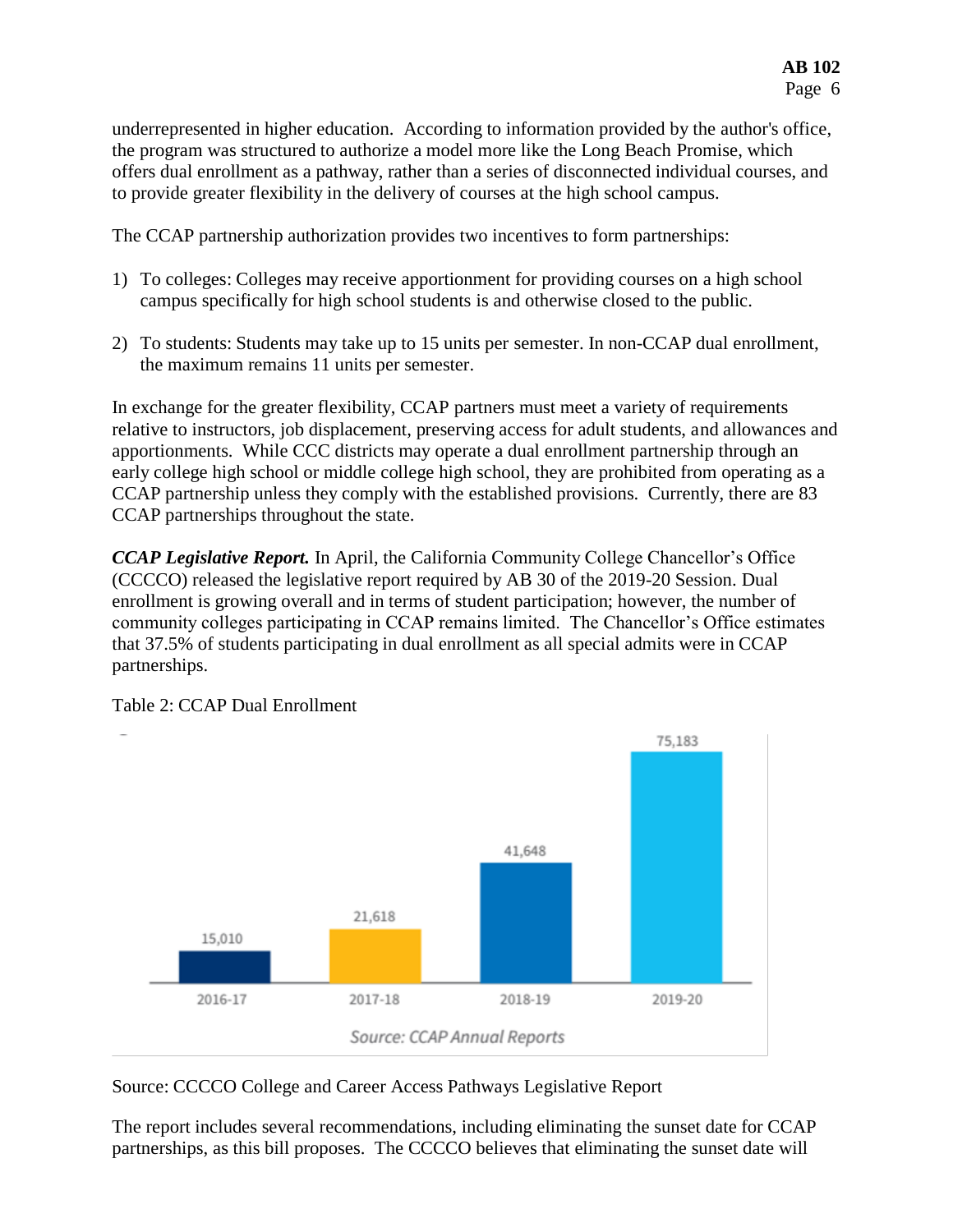underrepresented in higher education. According to information provided by the author's office, the program was structured to authorize a model more like the Long Beach Promise, which offers dual enrollment as a pathway, rather than a series of disconnected individual courses, and to provide greater flexibility in the delivery of courses at the high school campus.

The CCAP partnership authorization provides two incentives to form partnerships:

- 1) To colleges: Colleges may receive apportionment for providing courses on a high school campus specifically for high school students is and otherwise closed to the public.
- 2) To students: Students may take up to 15 units per semester. In non-CCAP dual enrollment, the maximum remains 11 units per semester.

In exchange for the greater flexibility, CCAP partners must meet a variety of requirements relative to instructors, job displacement, preserving access for adult students, and allowances and apportionments. While CCC districts may operate a dual enrollment partnership through an early college high school or middle college high school, they are prohibited from operating as a CCAP partnership unless they comply with the established provisions. Currently, there are 83 CCAP partnerships throughout the state.

*CCAP Legislative Report.* In April, the California Community College Chancellor's Office (CCCCO) released the legislative report required by AB 30 of the 2019-20 Session. Dual enrollment is growing overall and in terms of student participation; however, the number of community colleges participating in CCAP remains limited. The Chancellor's Office estimates that 37.5% of students participating in dual enrollment as all special admits were in CCAP partnerships.



Table 2: CCAP Dual Enrollment



Source: CCCCO College and Career Access Pathways Legislative Report

The report includes several recommendations, including eliminating the sunset date for CCAP partnerships, as this bill proposes. The CCCCO believes that eliminating the sunset date will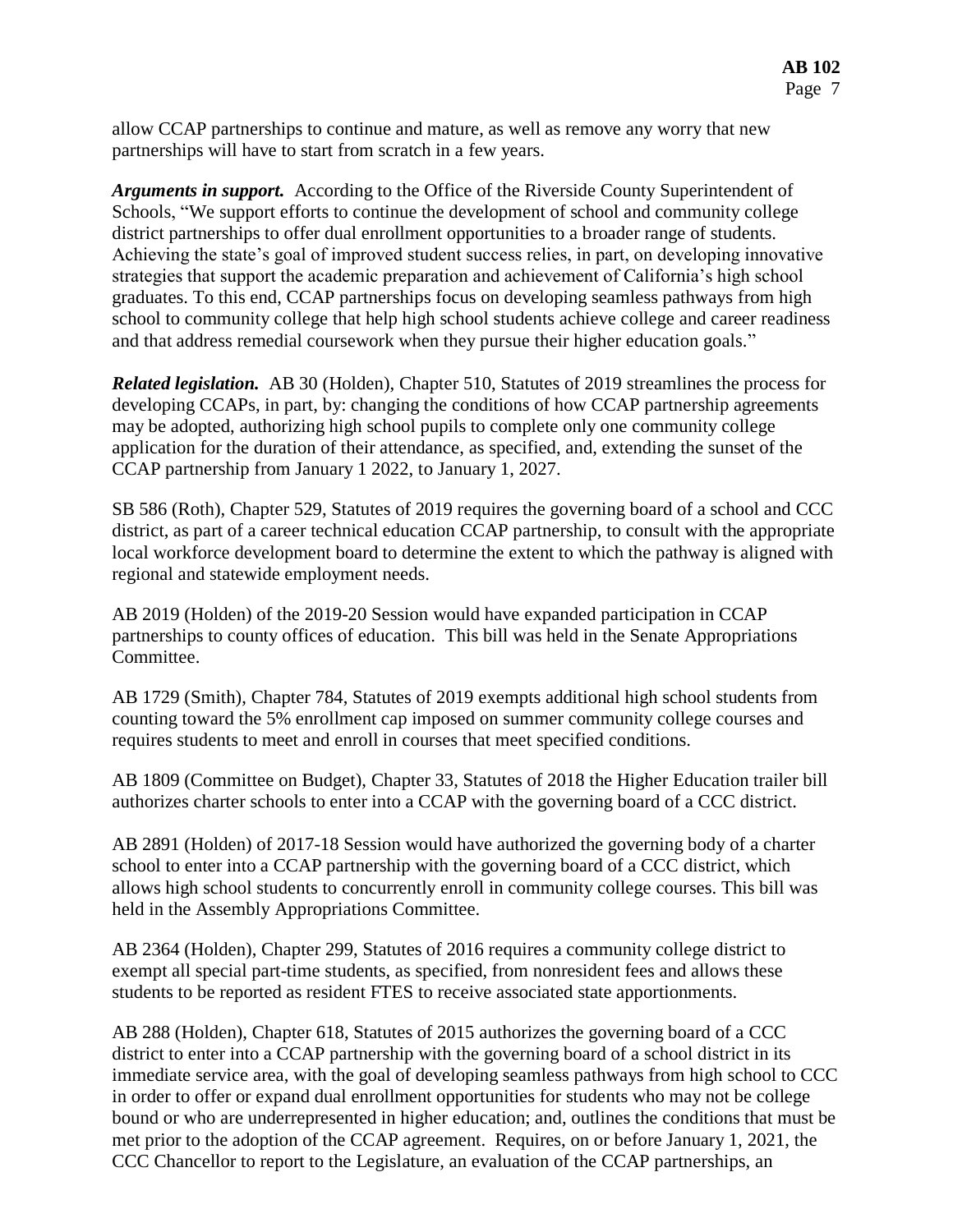allow CCAP partnerships to continue and mature, as well as remove any worry that new partnerships will have to start from scratch in a few years.

*Arguments in support.* According to the Office of the Riverside County Superintendent of Schools, "We support efforts to continue the development of school and community college district partnerships to offer dual enrollment opportunities to a broader range of students. Achieving the state's goal of improved student success relies, in part, on developing innovative strategies that support the academic preparation and achievement of California's high school graduates. To this end, CCAP partnerships focus on developing seamless pathways from high school to community college that help high school students achieve college and career readiness and that address remedial coursework when they pursue their higher education goals."

*Related legislation.* AB 30 (Holden), Chapter 510, Statutes of 2019 streamlines the process for developing CCAPs, in part, by: changing the conditions of how CCAP partnership agreements may be adopted, authorizing high school pupils to complete only one community college application for the duration of their attendance, as specified, and, extending the sunset of the CCAP partnership from January 1 2022, to January 1, 2027.

SB 586 (Roth), Chapter 529, Statutes of 2019 requires the governing board of a school and CCC district, as part of a career technical education CCAP partnership, to consult with the appropriate local workforce development board to determine the extent to which the pathway is aligned with regional and statewide employment needs.

AB 2019 (Holden) of the 2019-20 Session would have expanded participation in CCAP partnerships to county offices of education. This bill was held in the Senate Appropriations Committee.

AB 1729 (Smith), Chapter 784, Statutes of 2019 exempts additional high school students from counting toward the 5% enrollment cap imposed on summer community college courses and requires students to meet and enroll in courses that meet specified conditions.

AB 1809 (Committee on Budget), Chapter 33, Statutes of 2018 the Higher Education trailer bill authorizes charter schools to enter into a CCAP with the governing board of a CCC district.

AB 2891 (Holden) of 2017-18 Session would have authorized the governing body of a charter school to enter into a CCAP partnership with the governing board of a CCC district, which allows high school students to concurrently enroll in community college courses. This bill was held in the Assembly Appropriations Committee.

AB 2364 (Holden), Chapter 299, Statutes of 2016 requires a community college district to exempt all special part-time students, as specified, from nonresident fees and allows these students to be reported as resident FTES to receive associated state apportionments.

AB 288 (Holden), Chapter 618, Statutes of 2015 authorizes the governing board of a CCC district to enter into a CCAP partnership with the governing board of a school district in its immediate service area, with the goal of developing seamless pathways from high school to CCC in order to offer or expand dual enrollment opportunities for students who may not be college bound or who are underrepresented in higher education; and, outlines the conditions that must be met prior to the adoption of the CCAP agreement. Requires, on or before January 1, 2021, the CCC Chancellor to report to the Legislature, an evaluation of the CCAP partnerships, an